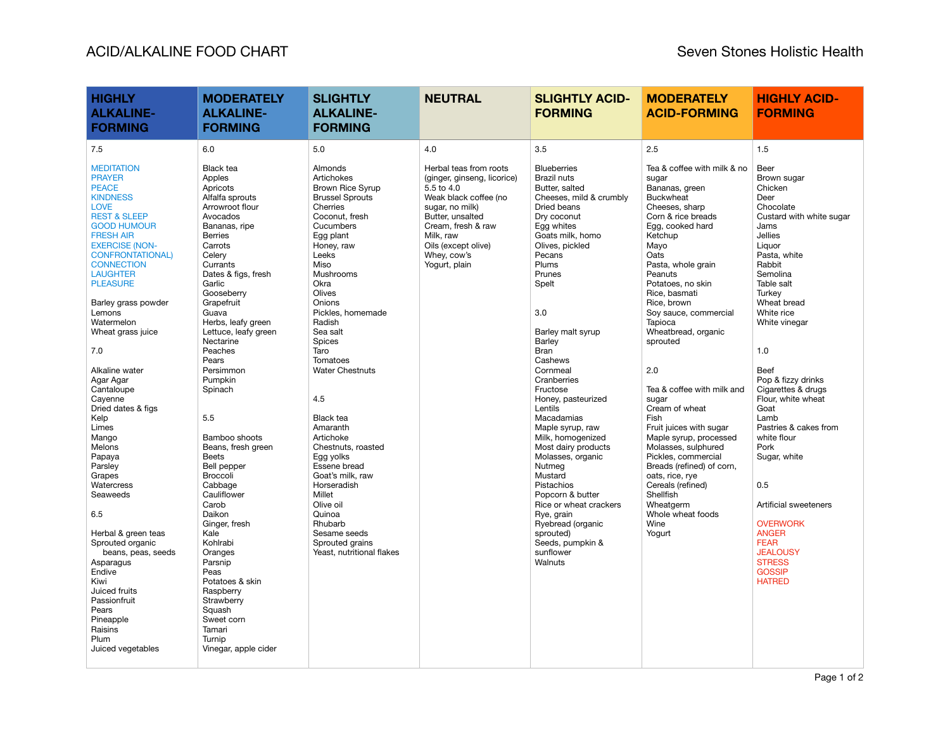| <b>HIGHLY</b><br><b>ALKALINE-</b><br><b>FORMING</b>                                                                                                                                                                                                                                                                                                                                                                                                                                                                                                                                                                                                                                                                                  | <b>MODERATELY</b><br><b>ALKALINE-</b><br><b>FORMING</b>                                                                                                                                                                                                                                                                                                                                                                                                                                                                                                                                                                                                                  | <b>SLIGHTLY</b><br><b>ALKALINE-</b><br><b>FORMING</b>                                                                                                                                                                                                                                                                                                                                                                                                                                                                                                               | <b>NEUTRAL</b>                                                                                                                                                                                                                | <b>SLIGHTLY ACID-</b><br><b>FORMING</b>                                                                                                                                                                                                                                                                                                                                                                                                                                                                                                                                                                                  | <b>MODERATELY</b><br><b>ACID-FORMING</b>                                                                                                                                                                                                                                                                                                                                                                                                                                                                                                                                                                                                        | <b>HIGHLY ACID-</b><br><b>FORMING</b>                                                                                                                                                                                                                                                                                                                                                                                                                                                                                                                    |
|--------------------------------------------------------------------------------------------------------------------------------------------------------------------------------------------------------------------------------------------------------------------------------------------------------------------------------------------------------------------------------------------------------------------------------------------------------------------------------------------------------------------------------------------------------------------------------------------------------------------------------------------------------------------------------------------------------------------------------------|--------------------------------------------------------------------------------------------------------------------------------------------------------------------------------------------------------------------------------------------------------------------------------------------------------------------------------------------------------------------------------------------------------------------------------------------------------------------------------------------------------------------------------------------------------------------------------------------------------------------------------------------------------------------------|---------------------------------------------------------------------------------------------------------------------------------------------------------------------------------------------------------------------------------------------------------------------------------------------------------------------------------------------------------------------------------------------------------------------------------------------------------------------------------------------------------------------------------------------------------------------|-------------------------------------------------------------------------------------------------------------------------------------------------------------------------------------------------------------------------------|--------------------------------------------------------------------------------------------------------------------------------------------------------------------------------------------------------------------------------------------------------------------------------------------------------------------------------------------------------------------------------------------------------------------------------------------------------------------------------------------------------------------------------------------------------------------------------------------------------------------------|-------------------------------------------------------------------------------------------------------------------------------------------------------------------------------------------------------------------------------------------------------------------------------------------------------------------------------------------------------------------------------------------------------------------------------------------------------------------------------------------------------------------------------------------------------------------------------------------------------------------------------------------------|----------------------------------------------------------------------------------------------------------------------------------------------------------------------------------------------------------------------------------------------------------------------------------------------------------------------------------------------------------------------------------------------------------------------------------------------------------------------------------------------------------------------------------------------------------|
| 7.5                                                                                                                                                                                                                                                                                                                                                                                                                                                                                                                                                                                                                                                                                                                                  | 6.0                                                                                                                                                                                                                                                                                                                                                                                                                                                                                                                                                                                                                                                                      | 5.0                                                                                                                                                                                                                                                                                                                                                                                                                                                                                                                                                                 | 4.0                                                                                                                                                                                                                           | 3.5                                                                                                                                                                                                                                                                                                                                                                                                                                                                                                                                                                                                                      | 2.5                                                                                                                                                                                                                                                                                                                                                                                                                                                                                                                                                                                                                                             | 1.5                                                                                                                                                                                                                                                                                                                                                                                                                                                                                                                                                      |
| <b>MEDITATION</b><br><b>PRAYER</b><br><b>PEACE</b><br><b>KINDNESS</b><br><b>LOVE</b><br><b>REST &amp; SLEEP</b><br><b>GOOD HUMOUR</b><br><b>FRESH AIR</b><br><b>EXERCISE (NON-</b><br><b>CONFRONTATIONAL)</b><br><b>CONNECTION</b><br><b>LAUGHTER</b><br><b>PLEASURE</b><br>Barley grass powder<br>Lemons<br>Watermelon<br>Wheat grass juice<br>7.0<br>Alkaline water<br>Agar Agar<br>Cantaloupe<br>Cayenne<br>Dried dates & figs<br>Kelp<br>Limes<br>Mango<br>Melons<br>Papaya<br>Parsley<br>Grapes<br>Watercress<br>Seaweeds<br>6.5<br>Herbal & green teas<br>Sprouted organic<br>beans, peas, seeds<br>Asparagus<br>Endive<br>Kiwi<br>Juiced fruits<br>Passionfruit<br>Pears<br>Pineapple<br>Raisins<br>Plum<br>Juiced vegetables | Black tea<br>Apples<br>Apricots<br>Alfalfa sprouts<br>Arrowroot flour<br>Avocados<br>Bananas, ripe<br><b>Berries</b><br>Carrots<br>Celery<br>Currants<br>Dates & figs, fresh<br>Garlic<br>Gooseberry<br>Grapefruit<br>Guava<br>Herbs, leafy green<br>Lettuce, leafy green<br>Nectarine<br>Peaches<br>Pears<br>Persimmon<br>Pumpkin<br>Spinach<br>5.5<br>Bamboo shoots<br>Beans, fresh green<br><b>Beets</b><br>Bell pepper<br>Broccoli<br>Cabbage<br>Cauliflower<br>Carob<br>Daikon<br>Ginger, fresh<br>Kale<br>Kohlrabi<br>Oranges<br>Parsnip<br>Peas<br>Potatoes & skin<br>Raspberry<br>Strawberry<br>Squash<br>Sweet corn<br>Tamari<br>Turnip<br>Vinegar, apple cider | Almonds<br>Artichokes<br><b>Brown Rice Syrup</b><br><b>Brussel Sprouts</b><br>Cherries<br>Coconut, fresh<br>Cucumbers<br>Egg plant<br>Honey, raw<br>Leeks<br>Miso<br>Mushrooms<br>Okra<br>Olives<br>Onions<br>Pickles, homemade<br>Radish<br>Sea salt<br>Spices<br>Taro<br>Tomatoes<br><b>Water Chestnuts</b><br>4.5<br><b>Black tea</b><br>Amaranth<br>Artichoke<br>Chestnuts, roasted<br>Egg yolks<br>Essene bread<br>Goat's milk, raw<br>Horseradish<br>Millet<br>Olive oil<br>Quinoa<br>Rhubarb<br>Sesame seeds<br>Sprouted grains<br>Yeast, nutritional flakes | Herbal teas from roots<br>(ginger, ginseng, licorice)<br>5.5 to 4.0<br>Weak black coffee (no<br>sugar, no milk)<br>Butter, unsalted<br>Cream, fresh & raw<br>Milk. raw<br>Oils (except olive)<br>Whey, cow's<br>Yogurt, plain | <b>Blueberries</b><br>Brazil nuts<br>Butter, salted<br>Cheeses, mild & crumbly<br>Dried beans<br>Dry coconut<br>Egg whites<br>Goats milk, homo<br>Olives, pickled<br>Pecans<br>Plums<br>Prunes<br>Spelt<br>3.0<br>Barley malt syrup<br>Barley<br>Bran<br>Cashews<br>Cornmeal<br>Cranberries<br>Fructose<br>Honey, pasteurized<br>Lentils<br>Macadamias<br>Maple syrup, raw<br>Milk, homogenized<br>Most dairy products<br>Molasses, organic<br>Nutmeg<br>Mustard<br>Pistachios<br>Popcorn & butter<br>Rice or wheat crackers<br>Rye, grain<br>Ryebread (organic<br>sprouted)<br>Seeds, pumpkin &<br>sunflower<br>Walnuts | Tea & coffee with milk & no<br>sugar<br>Bananas, green<br><b>Buckwheat</b><br>Cheeses, sharp<br>Corn & rice breads<br>Egg, cooked hard<br>Ketchup<br>Mayo<br>Oats<br>Pasta, whole grain<br>Peanuts<br>Potatoes, no skin<br>Rice, basmati<br>Rice, brown<br>Soy sauce, commercial<br>Tapioca<br>Wheatbread, organic<br>sprouted<br>2.0<br>Tea & coffee with milk and<br>sugar<br>Cream of wheat<br>Fish<br>Fruit juices with sugar<br>Maple syrup, processed<br>Molasses, sulphured<br>Pickles, commercial<br>Breads (refined) of corn,<br>oats, rice, rye<br>Cereals (refined)<br>Shellfish<br>Wheatgerm<br>Whole wheat foods<br>Wine<br>Yogurt | Beer<br>Brown sugar<br>Chicken<br>Deer<br>Chocolate<br>Custard with white sugar<br>Jams<br><b>Jellies</b><br>Liquor<br>Pasta, white<br>Rabbit<br>Semolina<br>Table salt<br>Turkey<br>Wheat bread<br>White rice<br>White vinegar<br>1.0<br>Beef<br>Pop & fizzy drinks<br>Cigarettes & drugs<br>Flour, white wheat<br>Goat<br>Lamb<br>Pastries & cakes from<br>white flour<br>Pork<br>Sugar, white<br>0.5<br>Artificial sweeteners<br><b>OVERWORK</b><br><b>ANGER</b><br><b>FEAR</b><br><b>JEALOUSY</b><br><b>STRESS</b><br><b>GOSSIP</b><br><b>HATRED</b> |